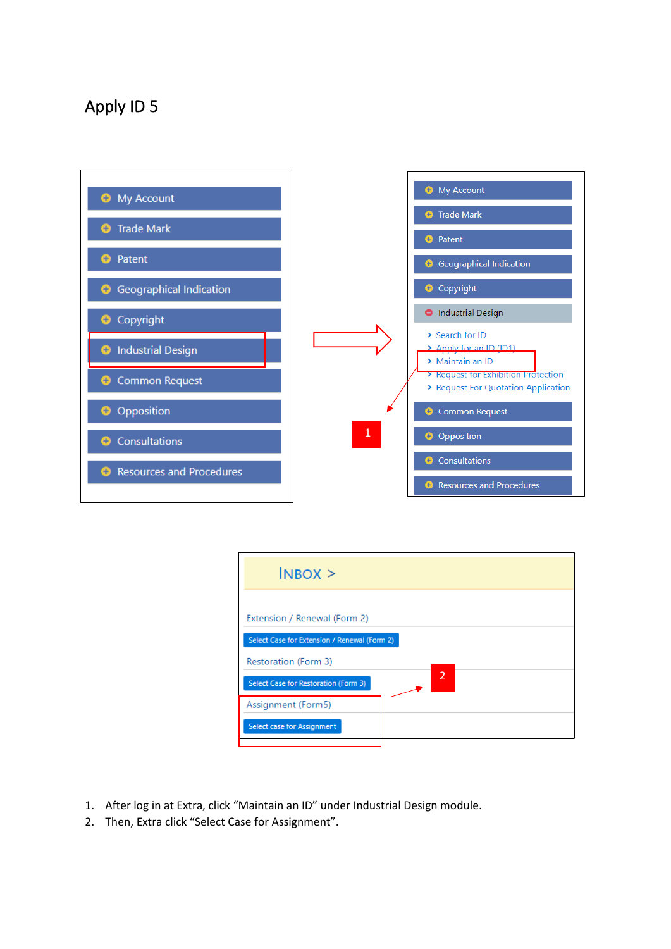## Apply ID 5



| $INBOX$ >                                                    |                          |
|--------------------------------------------------------------|--------------------------|
| Extension / Renewal (Form 2)                                 |                          |
| Select Case for Extension / Renewal (Form 2)                 |                          |
| Restoration (Form 3)<br>Select Case for Restoration (Form 3) | $\overline{\phantom{a}}$ |
| Assignment (Form5)                                           |                          |
| Select case for Assignment                                   |                          |

- 1. After log in at Extra, click "Maintain an ID" under Industrial Design module.
- 2. Then, Extra click "Select Case for Assignment".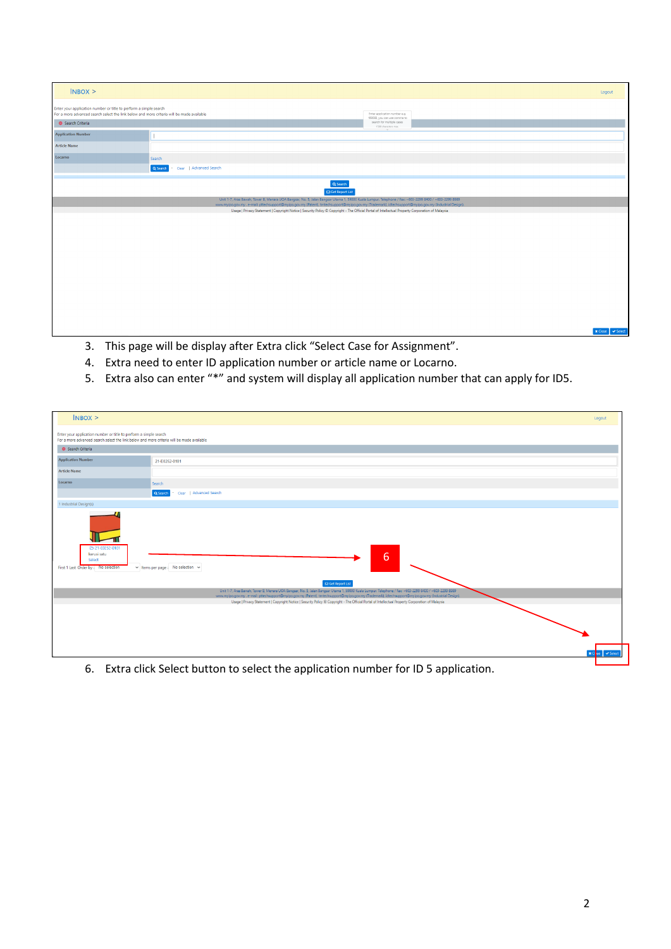| $INBOX$ >                                                                                                                                                      |                                                                                                                                                                                                                                                                                                                  |                                                               | Logout                         |
|----------------------------------------------------------------------------------------------------------------------------------------------------------------|------------------------------------------------------------------------------------------------------------------------------------------------------------------------------------------------------------------------------------------------------------------------------------------------------------------|---------------------------------------------------------------|--------------------------------|
| Enter your application number or title to perform a simple search<br>For a more advanced search select the link below and more criteria will be made available |                                                                                                                                                                                                                                                                                                                  | Enter application number e.g.<br>169088, you can use comma to |                                |
| Search Criteria                                                                                                                                                |                                                                                                                                                                                                                                                                                                                  | search for multiple cases<br>1500 characters max.             |                                |
| <b>Application Number</b>                                                                                                                                      |                                                                                                                                                                                                                                                                                                                  |                                                               |                                |
| <b>Article Name</b>                                                                                                                                            |                                                                                                                                                                                                                                                                                                                  |                                                               |                                |
| Locarno                                                                                                                                                        | Search                                                                                                                                                                                                                                                                                                           |                                                               |                                |
|                                                                                                                                                                | Q Search<br>Clear   Advanced Search                                                                                                                                                                                                                                                                              |                                                               |                                |
|                                                                                                                                                                | Q Search<br>Get Report List                                                                                                                                                                                                                                                                                      |                                                               |                                |
|                                                                                                                                                                | Unit 1-7, Aras Bawah, Tower B, Menara UOA Bangsar, No. 5, Jalan Bangsar Utama 1, 59000 Kuala Lumpur. Telephone / Fax: +603-2299 8400 / +603-2299 8989<br>www.myipo.gov.my . e-mail: pttechsupport@myipo.gov.my (Patent), tmtechsupport@myipo.gov.my (Trademark), idtechsupport@myipo.gov.my (Industrial Design). |                                                               |                                |
|                                                                                                                                                                | Usage   Privacy Statement   Copyright Notice   Security Policy @ Copyright - The Official Portal of Intellectual Property Corporation of Malaysia                                                                                                                                                                |                                                               |                                |
|                                                                                                                                                                |                                                                                                                                                                                                                                                                                                                  |                                                               |                                |
|                                                                                                                                                                |                                                                                                                                                                                                                                                                                                                  |                                                               | $\times$ Close $\times$ Select |

- 3. This page will be display after Extra click "Select Case for Assignment".
- 4. Extra need to enter ID application number or article name or Locarno.
- 5. Extra also can enter "\*" and system will display all application number that can apply for ID5.

| $INBOX$ >                                                                                                                                                      |                                                                                                                                                                                                                                                                                                                                                                                                                                                                                                                                              | Logout   |
|----------------------------------------------------------------------------------------------------------------------------------------------------------------|----------------------------------------------------------------------------------------------------------------------------------------------------------------------------------------------------------------------------------------------------------------------------------------------------------------------------------------------------------------------------------------------------------------------------------------------------------------------------------------------------------------------------------------------|----------|
| Enter your application number or title to perform a simple search<br>For a more advanced search select the link below and more criteria will be made available |                                                                                                                                                                                                                                                                                                                                                                                                                                                                                                                                              |          |
| G Search Criteria                                                                                                                                              |                                                                                                                                                                                                                                                                                                                                                                                                                                                                                                                                              |          |
| <b>Application Number</b>                                                                                                                                      | 21-E0252-0101                                                                                                                                                                                                                                                                                                                                                                                                                                                                                                                                |          |
| <b>Article Name</b>                                                                                                                                            |                                                                                                                                                                                                                                                                                                                                                                                                                                                                                                                                              |          |
| Locarno                                                                                                                                                        | Search                                                                                                                                                                                                                                                                                                                                                                                                                                                                                                                                       |          |
|                                                                                                                                                                | Q Search<br>Clear   Advanced Search                                                                                                                                                                                                                                                                                                                                                                                                                                                                                                          |          |
| 1 Industrial Design(s)                                                                                                                                         |                                                                                                                                                                                                                                                                                                                                                                                                                                                                                                                                              |          |
| 21-E0252-0101<br>kerusi satu<br>Select<br>First 1 Last Order by : No selection                                                                                 | 6<br>$\vee$ Items per page : No selection $\vee$<br>Get Report List<br>Unit 1-7, Aras Bawah, Tower B, Menara UOA Bangsar, No. 5, Jalan Bangsar Utama 1, 59000 Kuala Lumpur. Telephone / Fax: +603-2299 8400 / +603-2299 8999<br>www.myipa.gov.my . e-mail: pttechsupport@myipa.gov.my (Patent), tmtechsupport@myipa.gov.my (Trademark), idtechsupport@myipa.gov.my (Industrial Design).<br>Usage   Privacy Statement   Copyright Notice   Security Policy © Copyright - The Official Portal of Intellectual Property Corporation of Malaysia |          |
|                                                                                                                                                                |                                                                                                                                                                                                                                                                                                                                                                                                                                                                                                                                              | v Select |

6. Extra click Select button to select the application number for ID 5 application.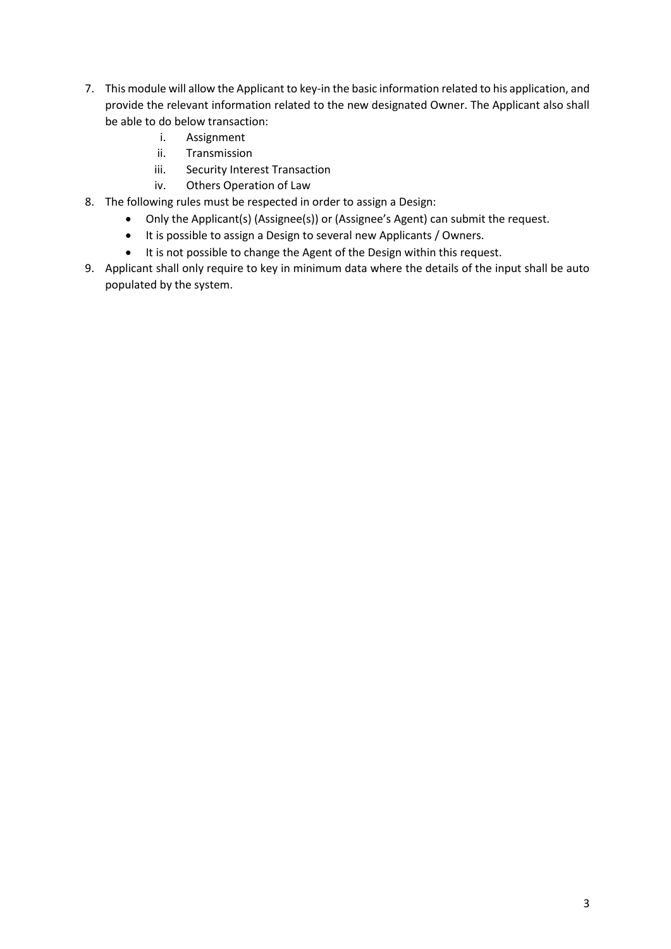- 7. This module will allow the Applicant to key-in the basic information related to his application, and provide the relevant information related to the new designated Owner. The Applicant also shall be able to do below transaction:
	- i. Assignment
	- ii. Transmission
	- iii. Security Interest Transaction
	- iv. Others Operation of Law
- 8. The following rules must be respected in order to assign a Design:
	- Only the Applicant(s) (Assignee(s)) or (Assignee's Agent) can submit the request.
	- It is possible to assign a Design to several new Applicants / Owners.
	- It is not possible to change the Agent of the Design within this request.
- 9. Applicant shall only require to key in minimum data where the details of the input shall be auto populated by the system.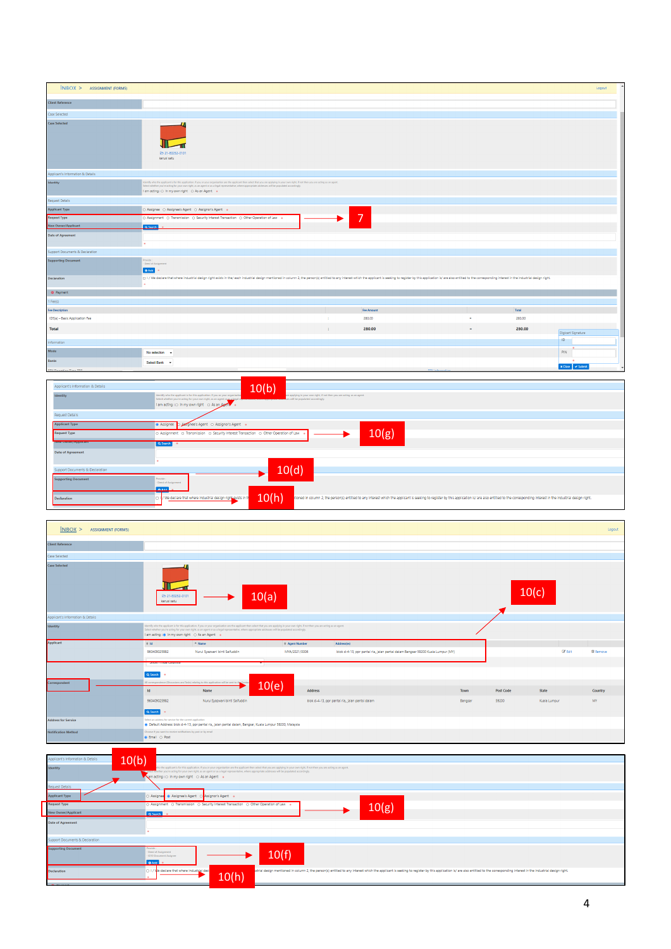| $INBOX$ > ASSIGNMENT (FORM5)      |                                                                                                                                                                                                                                                                                                                                                                                                            |    |                |     |        | Logout                     |
|-----------------------------------|------------------------------------------------------------------------------------------------------------------------------------------------------------------------------------------------------------------------------------------------------------------------------------------------------------------------------------------------------------------------------------------------------------|----|----------------|-----|--------|----------------------------|
| <b>Client Reference</b>           |                                                                                                                                                                                                                                                                                                                                                                                                            |    |                |     |        |                            |
| Case Selected                     |                                                                                                                                                                                                                                                                                                                                                                                                            |    |                |     |        |                            |
| <b>Case Selected</b>              | E> 21-E0252-0101<br>kerusi satu                                                                                                                                                                                                                                                                                                                                                                            |    |                |     |        |                            |
| Applicant's Information & Details |                                                                                                                                                                                                                                                                                                                                                                                                            |    |                |     |        |                            |
| Identity                          | identify who the applicant is for this application. If you or your organisation are the applicant then select that you are applying in your own right, if not then you are acting as an agent.<br>Select whether you're acting for your own right, as an agent or as a legal representative, where appropriate addresses will be populated accordingly.<br>I am acting : O In my own right O As an Agent + |    |                |     |        |                            |
| Request Details                   |                                                                                                                                                                                                                                                                                                                                                                                                            |    |                |     |        |                            |
| <b>Applicant Type</b>             | O Assignee O Assignee's Agent O Assignor's Agent .                                                                                                                                                                                                                                                                                                                                                         |    |                |     |        |                            |
| <b>Request Type</b>               | O Assignment O Transmission O Security Interest Transaction O Other Operation of Law .                                                                                                                                                                                                                                                                                                                     |    | $\overline{7}$ |     |        |                            |
| New Owner/Applicant               | O Search                                                                                                                                                                                                                                                                                                                                                                                                   |    |                |     |        |                            |
| <b>Date of Agreement</b>          |                                                                                                                                                                                                                                                                                                                                                                                                            |    |                |     |        |                            |
| Support Documents & Declaration   |                                                                                                                                                                                                                                                                                                                                                                                                            |    |                |     |        |                            |
| <b>Supporting Document</b>        | Provide :<br>- Deed of Assignment<br>O Add   0                                                                                                                                                                                                                                                                                                                                                             |    |                |     |        |                            |
| Declaration                       | [1] I / We declare that where industrial design right exists in the/each industrial design mentioned in column 2, the person(s) entitled to any interest which the applicant is seeking to register by this application is/ ar                                                                                                                                                                             |    |                |     |        |                            |
| · Payment                         |                                                                                                                                                                                                                                                                                                                                                                                                            |    |                |     |        |                            |
| $1 \text{Fee}(s)$                 |                                                                                                                                                                                                                                                                                                                                                                                                            |    |                |     |        |                            |
| <b>Fee Description</b>            |                                                                                                                                                                                                                                                                                                                                                                                                            |    | Fee Amount     |     | Total  |                            |
| ID5(a) - Basic Application Fee    |                                                                                                                                                                                                                                                                                                                                                                                                            |    | 280.00         | ٠   | 280.00 |                            |
| Total                             |                                                                                                                                                                                                                                                                                                                                                                                                            | ÷. | 280.00         | $=$ | 280.00 | Digicert Signature         |
| Information                       |                                                                                                                                                                                                                                                                                                                                                                                                            |    |                |     |        | $\overline{D}$             |
| Mode                              | No selection -                                                                                                                                                                                                                                                                                                                                                                                             |    |                |     |        | PIN                        |
| Banks                             | Select Bank -                                                                                                                                                                                                                                                                                                                                                                                              |    |                |     |        | $\sim$<br>× Close → Submit |
| THE CALLASSA TILL TOO.            |                                                                                                                                                                                                                                                                                                                                                                                                            |    |                |     |        |                            |

| Applicant's Information & Details | 10(b)                                                                                                                                                                                                                                                                                                                                                                     |
|-----------------------------------|---------------------------------------------------------------------------------------------------------------------------------------------------------------------------------------------------------------------------------------------------------------------------------------------------------------------------------------------------------------------------|
| <b>Identity</b>                   | Identify who the applicant is for this application. If you or your organisation<br>ire applying in your own right, if not then you are acting as an agent.<br>Select whether you're acting for your own right, as an agent or as a legal representative, mixed space process<br>one ses will be populated accordingly.<br>I am acting : O In my own right O As an Agent . |
| <b>Request Details</b>            |                                                                                                                                                                                                                                                                                                                                                                           |
| <b>Applicant Type</b>             | Assignee D Anagnee's Agent O Assignor's Agent .                                                                                                                                                                                                                                                                                                                           |
| <b>Request Type</b>               | 10(g)<br>O Assignment O Transmission O Security Interest Transaction O Other Operation of Law                                                                                                                                                                                                                                                                             |
| <b>THEW OWNER/Applicant</b>       | Q Search 0                                                                                                                                                                                                                                                                                                                                                                |
| <b>Date of Agreement</b>          |                                                                                                                                                                                                                                                                                                                                                                           |
|                                   |                                                                                                                                                                                                                                                                                                                                                                           |
| Support Documents & Declaration   | 10(d)                                                                                                                                                                                                                                                                                                                                                                     |
| <b>Supporting Document</b>        | Provide:<br>- Deed of Assignment                                                                                                                                                                                                                                                                                                                                          |
|                                   | 0A/d                                                                                                                                                                                                                                                                                                                                                                      |
| <b>Declaration</b>                | 10(h)<br>U IV We declare that where industrial design right exists in the<br>tioned in column 2, the person(s) entitled to any interest which the applicant is seeking to register by this application is/ are also entitled to the corresponding interest in the industrial design right.                                                                                |

| INBOX<br><b>ASSIGNMENT (FORM5)</b> |                                                                                          |                                                                                                                                                                                                                                                                                                                                                         |                           |                                                                                 |         |                  |                | Logout          |
|------------------------------------|------------------------------------------------------------------------------------------|---------------------------------------------------------------------------------------------------------------------------------------------------------------------------------------------------------------------------------------------------------------------------------------------------------------------------------------------------------|---------------------------|---------------------------------------------------------------------------------|---------|------------------|----------------|-----------------|
| <b>Client Reference</b>            |                                                                                          |                                                                                                                                                                                                                                                                                                                                                         |                           |                                                                                 |         |                  |                |                 |
| Case Selected                      |                                                                                          |                                                                                                                                                                                                                                                                                                                                                         |                           |                                                                                 |         |                  |                |                 |
| <b>Case Selected</b>               | 25 21-E0252-0101<br>kerusi satu                                                          | 10(a)                                                                                                                                                                                                                                                                                                                                                   |                           |                                                                                 |         | 10(c)            |                |                 |
| Applicant's Information & Details  |                                                                                          |                                                                                                                                                                                                                                                                                                                                                         |                           |                                                                                 |         |                  |                |                 |
| <b>Identity</b>                    | I am acting : @ In my own right   O As an Agent   o                                      | Identify who the applicant is for this application. If you or your organisation are the applicant then select that you are applying in your own right, if not then you are acting as an agent.<br>Select whether you're acting for your own right, as an agent or as a legal representative, where appropriate addresses will be populated accordingly. |                           |                                                                                 |         |                  |                |                 |
| <b>Applicant</b>                   | $\oplus$ Id                                                                              | $-$ Name                                                                                                                                                                                                                                                                                                                                                | <sup>©</sup> Agent Number | Address(es)                                                                     |         |                  |                |                 |
|                                    | 960409025982                                                                             | Nurul Syazwani binti Saifuddin                                                                                                                                                                                                                                                                                                                          | MYA/2021/0006             | blok d-4-13, ppr pantai ria, jalan pantai dalam Bangsar 59200 Kuala Lumpur (MY) |         |                  | <b>Co</b> Edit | <b>B</b> Remove |
|                                    |                                                                                          |                                                                                                                                                                                                                                                                                                                                                         |                           |                                                                                 |         |                  |                |                 |
|                                    | Q Search                                                                                 |                                                                                                                                                                                                                                                                                                                                                         |                           |                                                                                 |         |                  |                |                 |
| Correspondent                      |                                                                                          | All correspondence (Discussions and Tasks) relating to this application will be sent to the Contact of the Contact of the Contact of the Contact of the Contact of the Contact of the Contact of the Contact of the Contact of<br>10(e)                                                                                                                 |                           |                                                                                 |         |                  |                |                 |
|                                    | $\mathsf{Id}$                                                                            | Name                                                                                                                                                                                                                                                                                                                                                    | <b>Address</b>            |                                                                                 | Town    | <b>Post Code</b> | State          | Country         |
|                                    | 960409025982                                                                             | Nurul Syazwani binti Saifuddin                                                                                                                                                                                                                                                                                                                          |                           | blok d-4-13, ppr pantai ría, jalan pantai dalam                                 | Bangsar | 59200            | Kuala Lumpur   | MY              |
|                                    | Q Search                                                                                 |                                                                                                                                                                                                                                                                                                                                                         |                           |                                                                                 |         |                  |                |                 |
| <b>Address for Service</b>         | Select an address for service for the current application                                | · Default Address: blok d-4-13, ppr pantal ria, Jalan pantal dalam, Bangsar, Kuala Lumpur 59200, Malaysia                                                                                                                                                                                                                                               |                           |                                                                                 |         |                  |                |                 |
| <b>Notification Method</b>         | Choose if you want to receive notifications by post or by email<br><b>C</b> Email O Post |                                                                                                                                                                                                                                                                                                                                                         |                           |                                                                                 |         |                  |                |                 |

| 10(b)<br>Applicant's Information & Details |                                                                                                                                                                                                                                                                                       |
|--------------------------------------------|---------------------------------------------------------------------------------------------------------------------------------------------------------------------------------------------------------------------------------------------------------------------------------------|
| Identity                                   | the the applicant is for this application. If you or your organisation are the applicant then select that you are applying in your own right, if not then you are acting as an agent.                                                                                                 |
|                                            | Rect whether you're acting for your own right, as an agent or as a legal representative, where appropriate addresses will be populated accordingly.<br>▶ am acting : O In my own right O As an Agent .                                                                                |
| Request Details                            |                                                                                                                                                                                                                                                                                       |
|                                            |                                                                                                                                                                                                                                                                                       |
| Applicant Type                             | O Assignee & Assignee's Agent O Assignor's Agent .                                                                                                                                                                                                                                    |
| <b>Request Type</b>                        | O Assignment O Transmission O Security Interest Transaction O Other Operation of Law .<br>10(g)                                                                                                                                                                                       |
| New Owner/Applicant                        | Q Search o                                                                                                                                                                                                                                                                            |
|                                            |                                                                                                                                                                                                                                                                                       |
|                                            |                                                                                                                                                                                                                                                                                       |
| <b>Date of Agreement</b>                   |                                                                                                                                                                                                                                                                                       |
|                                            |                                                                                                                                                                                                                                                                                       |
| Support Documents & Declaration            |                                                                                                                                                                                                                                                                                       |
| <b>Supporting Document</b>                 | Provide:<br>- Deed of Assignment<br>10(f)<br>- ID10 Document Assignee<br>O Add   o                                                                                                                                                                                                    |
| <b>Declaration</b>                         | 0 1/ Ve declare that where industrial desi<br>istrial design mentioned in column 2, the person(s) entitled to any interest which the applicant is seeking to register by this application is/ are also entitled to the corresponding interest in the industrial design right<br>10(h) |